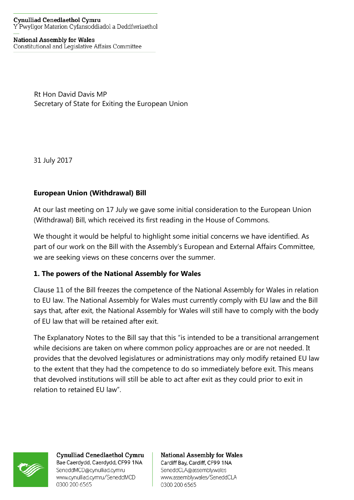#### **Cynulliad Cenedlaethol Cymru** Y Pwyllgor Materion Cyfansoddiadol a Deddfwriaethol

#### **National Assembly for Wales** Constitutional and Legislative Affairs Committee

Rt Hon David Davis MP Secretary of State for Exiting the European Union

31 July 2017

## **European Union (Withdrawal) Bill**

At our last meeting on 17 July we gave some initial consideration to the European Union (Withdrawal) Bill, which received its first reading in the House of Commons.

We thought it would be helpful to highlight some initial concerns we have identified. As part of our work on the Bill with the Assembly's European and External Affairs Committee, we are seeking views on these concerns over the summer.

### **1. The powers of the National Assembly for Wales**

Clause 11 of the Bill freezes the competence of the National Assembly for Wales in relation to EU law. The National Assembly for Wales must currently comply with EU law and the Bill says that, after exit, the National Assembly for Wales will still have to comply with the body of EU law that will be retained after exit.

The Explanatory Notes to the Bill say that this "is intended to be a transitional arrangement while decisions are taken on where common policy approaches are or are not needed. It provides that the devolved legislatures or administrations may only modify retained EU law to the extent that they had the competence to do so immediately before exit. This means that devolved institutions will still be able to act after exit as they could prior to exit in relation to retained EU law".

0300 200 6565



Cynulliad Cenedlaethol Cymru Bae Caerdydd, Caerdydd, CF99 1NA SeneddMCD@cynulliad.cymru www.cynulliad.cymru/SeneddMCD 0300 200 6565

#### **National Assembly for Wales** Cardiff Bay, Cardiff, CF99 1NA SeneddCLA@assembly.wales www.assembly.wales/SeneddCLA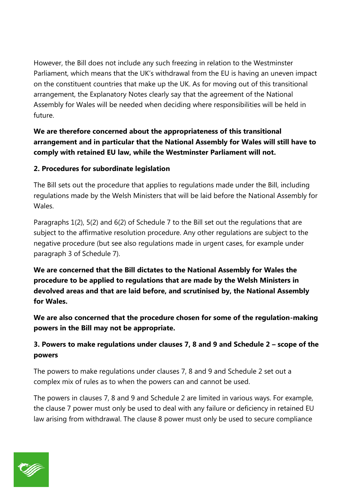However, the Bill does not include any such freezing in relation to the Westminster Parliament, which means that the UK's withdrawal from the EU is having an uneven impact on the constituent countries that make up the UK. As for moving out of this transitional arrangement, the Explanatory Notes clearly say that the agreement of the National Assembly for Wales will be needed when deciding where responsibilities will be held in future.

# **We are therefore concerned about the appropriateness of this transitional arrangement and in particular that the National Assembly for Wales will still have to comply with retained EU law, while the Westminster Parliament will not.**

## **2. Procedures for subordinate legislation**

The Bill sets out the procedure that applies to regulations made under the Bill, including regulations made by the Welsh Ministers that will be laid before the National Assembly for Wales.

Paragraphs 1(2), 5(2) and 6(2) of Schedule 7 to the Bill set out the regulations that are subject to the affirmative resolution procedure. Any other regulations are subject to the negative procedure (but see also regulations made in urgent cases, for example under paragraph 3 of Schedule 7).

**We are concerned that the Bill dictates to the National Assembly for Wales the procedure to be applied to regulations that are made by the Welsh Ministers in devolved areas and that are laid before, and scrutinised by, the National Assembly for Wales.** 

**We are also concerned that the procedure chosen for some of the regulation-making powers in the Bill may not be appropriate.** 

# **3. Powers to make regulations under clauses 7, 8 and 9 and Schedule 2 – scope of the powers**

The powers to make regulations under clauses 7, 8 and 9 and Schedule 2 set out a complex mix of rules as to when the powers can and cannot be used.

The powers in clauses 7, 8 and 9 and Schedule 2 are limited in various ways. For example, the clause 7 power must only be used to deal with any failure or deficiency in retained EU law arising from withdrawal. The clause 8 power must only be used to secure compliance

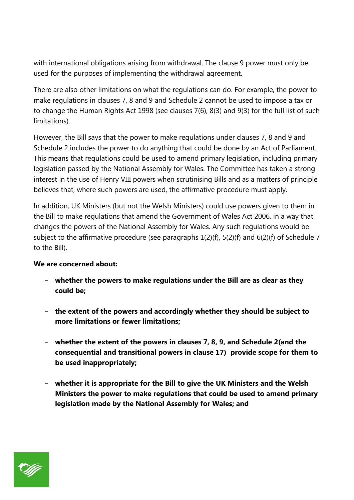with international obligations arising from withdrawal. The clause 9 power must only be used for the purposes of implementing the withdrawal agreement.

There are also other limitations on what the regulations can do. For example, the power to make regulations in clauses 7, 8 and 9 and Schedule 2 cannot be used to impose a tax or to change the Human Rights Act 1998 (see clauses 7(6), 8(3) and 9(3) for the full list of such limitations).

However, the Bill says that the power to make regulations under clauses 7, 8 and 9 and Schedule 2 includes the power to do anything that could be done by an Act of Parliament. This means that regulations could be used to amend primary legislation, including primary legislation passed by the National Assembly for Wales. The Committee has taken a strong interest in the use of Henry VIII powers when scrutinising Bills and as a matters of principle believes that, where such powers are used, the affirmative procedure must apply.

In addition, UK Ministers (but not the Welsh Ministers) could use powers given to them in the Bill to make regulations that amend the Government of Wales Act 2006, in a way that changes the powers of the National Assembly for Wales. Any such regulations would be subject to the affirmative procedure (see paragraphs 1(2)(f), 5(2)(f) and 6(2)(f) of Schedule 7 to the Bill).

### **We are concerned about:**

- **whether the powers to make regulations under the Bill are as clear as they could be;**
- **the extent of the powers and accordingly whether they should be subject to more limitations or fewer limitations;**
- **whether the extent of the powers in clauses 7, 8, 9, and Schedule 2(and the consequential and transitional powers in clause 17) provide scope for them to be used inappropriately;**
- **whether it is appropriate for the Bill to give the UK Ministers and the Welsh Ministers the power to make regulations that could be used to amend primary legislation made by the National Assembly for Wales; and**

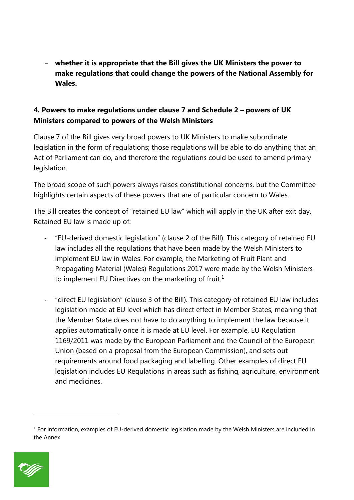- **whether it is appropriate that the Bill gives the UK Ministers the power to make regulations that could change the powers of the National Assembly for Wales.** 

## **4. Powers to make regulations under clause 7 and Schedule 2 – powers of UK Ministers compared to powers of the Welsh Ministers**

Clause 7 of the Bill gives very broad powers to UK Ministers to make subordinate legislation in the form of regulations; those regulations will be able to do anything that an Act of Parliament can do, and therefore the regulations could be used to amend primary legislation.

The broad scope of such powers always raises constitutional concerns, but the Committee highlights certain aspects of these powers that are of particular concern to Wales.

The Bill creates the concept of "retained EU law" which will apply in the UK after exit day. Retained EU law is made up of:

- "EU-derived domestic legislation" (clause 2 of the Bill). This category of retained EU law includes all the regulations that have been made by the Welsh Ministers to implement EU law in Wales. For example, the Marketing of Fruit Plant and Propagating Material (Wales) Regulations 2017 were made by the Welsh Ministers to implement EU Directives on the marketing of fruit.<sup>1</sup>
- "direct EU legislation" (clause 3 of the Bill). This category of retained EU law includes legislation made at EU level which has direct effect in Member States, meaning that the Member State does not have to do anything to implement the law because it applies automatically once it is made at EU level. For example, EU Regulation 1169/2011 was made by the European Parliament and the Council of the European Union (based on a proposal from the European Commission), and sets out requirements around food packaging and labelling. Other examples of direct EU legislation includes EU Regulations in areas such as fishing, agriculture, environment and medicines.

<sup>&</sup>lt;sup>1</sup> For information, examples of EU-derived domestic legislation made by the Welsh Ministers are included in the Annex



 $\overline{a}$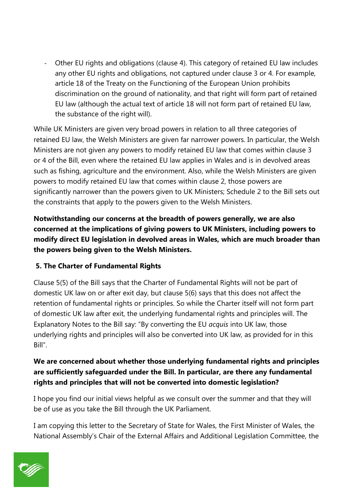- Other EU rights and obligations (clause 4). This category of retained EU law includes any other EU rights and obligations, not captured under clause 3 or 4. For example, article 18 of the Treaty on the Functioning of the European Union prohibits discrimination on the ground of nationality, and that right will form part of retained EU law (although the actual text of article 18 will not form part of retained EU law, the substance of the right will).

While UK Ministers are given very broad powers in relation to all three categories of retained EU law, the Welsh Ministers are given far narrower powers. In particular, the Welsh Ministers are not given any powers to modify retained EU law that comes within clause 3 or 4 of the Bill, even where the retained EU law applies in Wales and is in devolved areas such as fishing, agriculture and the environment. Also, while the Welsh Ministers are given powers to modify retained EU law that comes within clause 2, those powers are significantly narrower than the powers given to UK Ministers; Schedule 2 to the Bill sets out the constraints that apply to the powers given to the Welsh Ministers.

**Notwithstanding our concerns at the breadth of powers generally, we are also concerned at the implications of giving powers to UK Ministers, including powers to modify direct EU legislation in devolved areas in Wales, which are much broader than the powers being given to the Welsh Ministers.** 

# **5. The Charter of Fundamental Rights**

Clause 5(5) of the Bill says that the Charter of Fundamental Rights will not be part of domestic UK law on or after exit day, but clause 5(6) says that this does not affect the retention of fundamental rights or principles. So while the Charter itself will not form part of domestic UK law after exit, the underlying fundamental rights and principles will. The Explanatory Notes to the Bill say: "By converting the EU *acquis* into UK law, those underlying rights and principles will also be converted into UK law, as provided for in this Bill".

# **We are concerned about whether those underlying fundamental rights and principles are sufficiently safeguarded under the Bill. In particular, are there any fundamental rights and principles that will not be converted into domestic legislation?**

I hope you find our initial views helpful as we consult over the summer and that they will be of use as you take the Bill through the UK Parliament.

I am copying this letter to the Secretary of State for Wales, the First Minister of Wales, the National Assembly's Chair of the External Affairs and Additional Legislation Committee, the

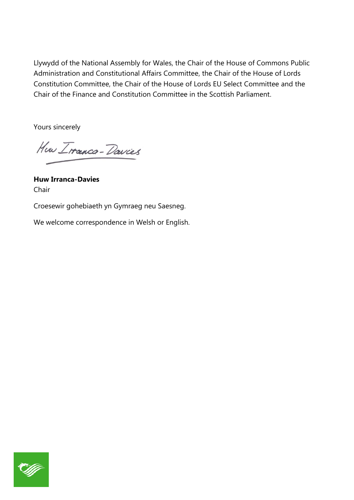Llywydd of the National Assembly for Wales, the Chair of the House of Commons Public Administration and Constitutional Affairs Committee, the Chair of the House of Lords Constitution Committee, the Chair of the House of Lords EU Select Committee and the Chair of the Finance and Constitution Committee in the Scottish Parliament.

Yours sincerely

How Iranca-Davies

**Huw Irranca-Davies** Chair

Croesewir gohebiaeth yn Gymraeg neu Saesneg.

We welcome correspondence in Welsh or English.

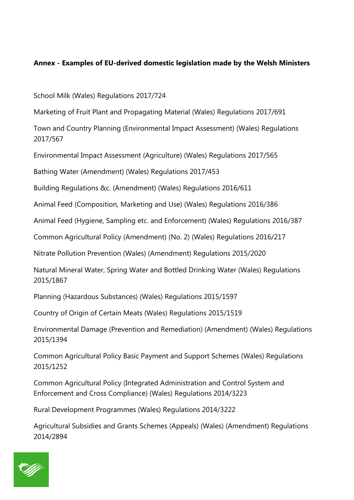#### **Annex - Examples of EU-derived domestic legislation made by the Welsh Ministers**

School Milk (Wales) Regulations 2017/724

Marketing of Fruit Plant and Propagating Material (Wales) Regulations 2017/691

Town and Country Planning (Environmental Impact Assessment) (Wales) Regulations 2017/567

Environmental Impact Assessment (Agriculture) (Wales) Regulations 2017/565

Bathing Water (Amendment) (Wales) Regulations 2017/453

Building Regulations &c. (Amendment) (Wales) Regulations 2016/611

Animal Feed (Composition, Marketing and Use) (Wales) Regulations 2016/386

Animal Feed (Hygiene, Sampling etc. and Enforcement) (Wales) Regulations 2016/387

Common Agricultural Policy (Amendment) (No. 2) (Wales) Regulations 2016/217

Nitrate Pollution Prevention (Wales) (Amendment) Regulations 2015/2020

Natural Mineral Water, Spring Water and Bottled Drinking Water (Wales) Regulations 2015/1867

Planning (Hazardous Substances) (Wales) Regulations 2015/1597

Country of Origin of Certain Meats (Wales) Regulations 2015/1519

Environmental Damage (Prevention and Remediation) (Amendment) (Wales) Regulations 2015/1394

Common Agricultural Policy Basic Payment and Support Schemes (Wales) Regulations 2015/1252

Common Agricultural Policy (Integrated Administration and Control System and Enforcement and Cross Compliance) (Wales) Regulations 2014/3223

Rural Development Programmes (Wales) Regulations 2014/3222

Agricultural Subsidies and Grants Schemes (Appeals) (Wales) (Amendment) Regulations 2014/2894